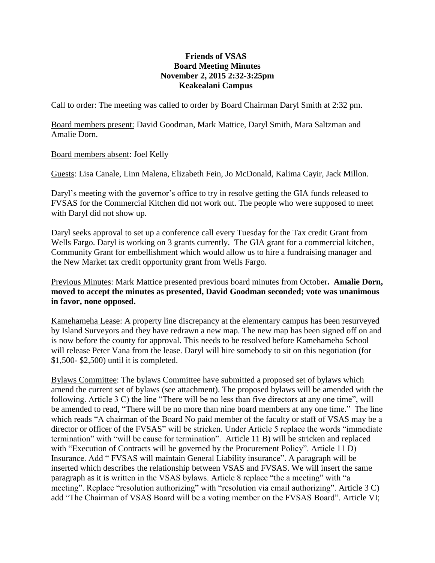## **Friends of VSAS Board Meeting Minutes November 2, 2015 2:32-3:25pm Keakealani Campus**

Call to order: The meeting was called to order by Board Chairman Daryl Smith at 2:32 pm.

Board members present: David Goodman, Mark Mattice, Daryl Smith, Mara Saltzman and Amalie Dorn.

Board members absent: Joel Kelly

Guests: Lisa Canale, Linn Malena, Elizabeth Fein, Jo McDonald, Kalima Cayir, Jack Millon.

Daryl's meeting with the governor's office to try in resolve getting the GIA funds released to FVSAS for the Commercial Kitchen did not work out. The people who were supposed to meet with Daryl did not show up.

Daryl seeks approval to set up a conference call every Tuesday for the Tax credit Grant from Wells Fargo. Daryl is working on 3 grants currently. The GIA grant for a commercial kitchen, Community Grant for embellishment which would allow us to hire a fundraising manager and the New Market tax credit opportunity grant from Wells Fargo.

Previous Minutes: Mark Mattice presented previous board minutes from October**. Amalie Dorn, moved to accept the minutes as presented, David Goodman seconded; vote was unanimous in favor, none opposed.**

Kamehameha Lease: A property line discrepancy at the elementary campus has been resurveyed by Island Surveyors and they have redrawn a new map. The new map has been signed off on and is now before the county for approval. This needs to be resolved before Kamehameha School will release Peter Vana from the lease. Daryl will hire somebody to sit on this negotiation (for \$1,500- \$2,500) until it is completed.

Bylaws Committee: The bylaws Committee have submitted a proposed set of bylaws which amend the current set of bylaws (see attachment). The proposed bylaws will be amended with the following. Article 3 C) the line "There will be no less than five directors at any one time", will be amended to read, "There will be no more than nine board members at any one time." The line which reads "A chairman of the Board No paid member of the faculty or staff of VSAS may be a director or officer of the FVSAS" will be stricken. Under Article 5 replace the words "immediate termination" with "will be cause for termination". Article 11 B) will be stricken and replaced with "Execution of Contracts will be governed by the Procurement Policy". Article 11 D) Insurance. Add " FVSAS will maintain General Liability insurance". A paragraph will be inserted which describes the relationship between VSAS and FVSAS. We will insert the same paragraph as it is written in the VSAS bylaws. Article 8 replace "the a meeting" with "a meeting". Replace "resolution authorizing" with "resolution via email authorizing". Article 3 C) add "The Chairman of VSAS Board will be a voting member on the FVSAS Board". Article VI;